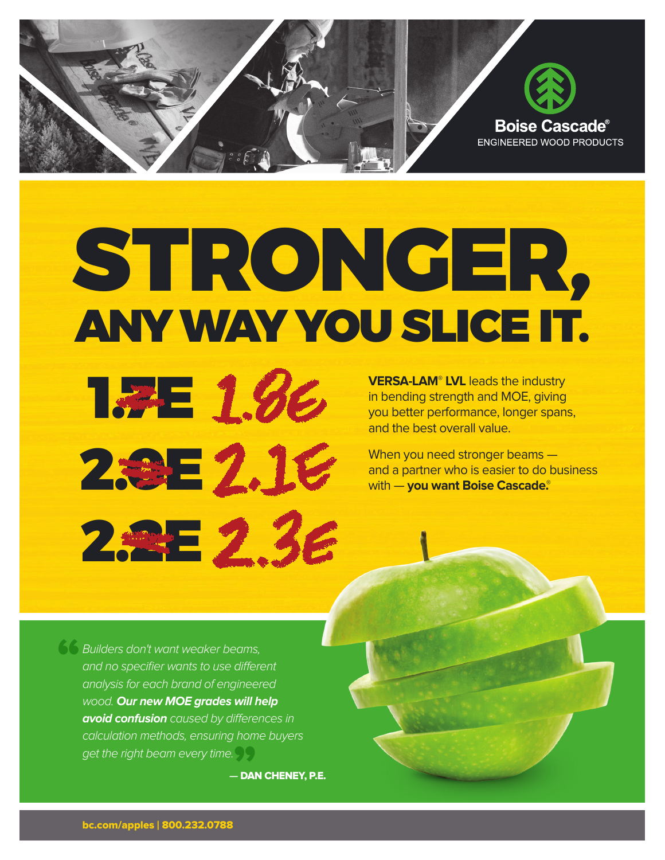

## STRONGER, ANYWAYYOU SLICE IT.

**VERSA-LAM® LVL** leads the industry in bending strength and MOE, giving you better performance, longer spans, and the best overall value.

When you need stronger beams and a partner who is easier to do business with — **you want Boise Cascade. ®**

" get the right beam every time.<br>**— DAI** Builders don't want weaker beams, and no specifier wants to use different analysis for each brand of engineered wood. **Our new MOE grades will help avoid confusion** caused by differences in calculation methods, ensuring home buyers

**1.7E 1.86** 

**2.9E2.16** 

2.2E<sub>2.3</sub>E

 **—** DAN CHENEY, P.E.